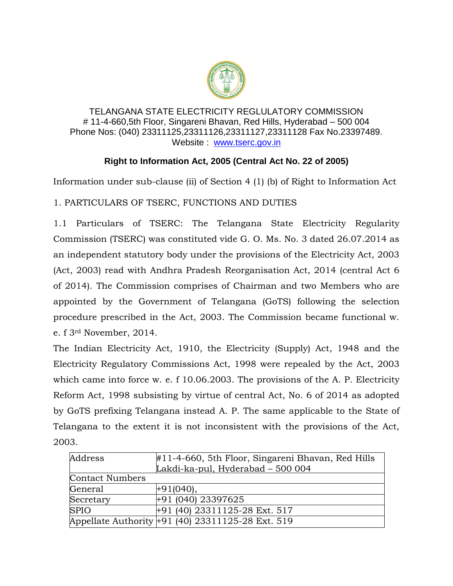

## TELANGANA STATE ELECTRICITY REGLULATORY COMMISSION # 11-4-660,5th Floor, Singareni Bhavan, Red Hills, Hyderabad – 500 004 Phone Nos: (040) 23311125,23311126,23311127,23311128 Fax No.23397489. Website : [www.tserc.gov.in](http://www.tserc.gov.in/)

## **Right to Information Act, 2005 (Central Act No. 22 of 2005)**

Information under sub-clause (ii) of Section 4 (1) (b) of Right to Information Act

1. PARTICULARS OF TSERC, FUNCTIONS AND DUTIES

1.1 Particulars of TSERC: The Telangana State Electricity Regularity Commission (TSERC) was constituted vide G. O. Ms. No. 3 dated 26.07.2014 as an independent statutory body under the provisions of the Electricity Act, 2003 (Act, 2003) read with Andhra Pradesh Reorganisation Act, 2014 (central Act 6 of 2014). The Commission comprises of Chairman and two Members who are appointed by the Government of Telangana (GoTS) following the selection procedure prescribed in the Act, 2003. The Commission became functional w. e. f 3rd November, 2014.

The Indian Electricity Act, 1910, the Electricity (Supply) Act, 1948 and the Electricity Regulatory Commissions Act, 1998 were repealed by the Act, 2003 which came into force w. e. f 10.06.2003. The provisions of the A. P. Electricity Reform Act, 1998 subsisting by virtue of central Act, No. 6 of 2014 as adopted by GoTS prefixing Telangana instead A. P. The same applicable to the State of Telangana to the extent it is not inconsistent with the provisions of the Act, 2003.

| Address                | $\#11$ -4-660, 5th Floor, Singareni Bhavan, Red Hills |  |
|------------------------|-------------------------------------------------------|--|
|                        | Lakdi-ka-pul, Hyderabad - 500 004                     |  |
| <b>Contact Numbers</b> |                                                       |  |
| General                | $+91(040),$                                           |  |
| Secretary              | $+91(040)$ 23397625                                   |  |
| <b>SPIO</b>            | $+91$ (40) 23311125-28 Ext. 517                       |  |
|                        | Appellate Authority +91 (40) 23311125-28 Ext. 519     |  |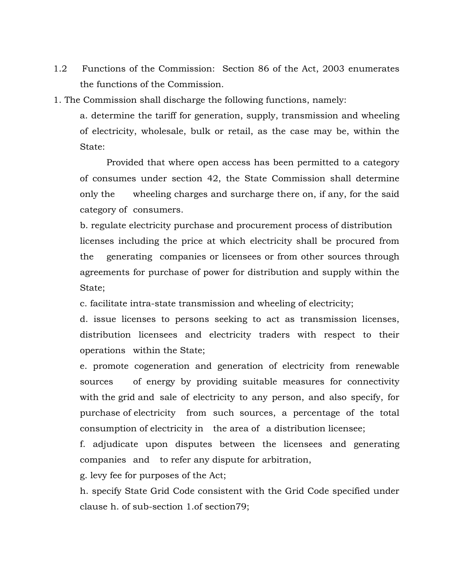- 1.2 Functions of the Commission: Section 86 of the Act, 2003 enumerates the functions of the Commission.
- 1. The Commission shall discharge the following functions, namely:

a. determine the tariff for generation, supply, transmission and wheeling of electricity, wholesale, bulk or retail, as the case may be, within the State:

Provided that where open access has been permitted to a category of consumes under section 42, the State Commission shall determine only the wheeling charges and surcharge there on, if any, for the said category of consumers.

b. regulate electricity purchase and procurement process of distribution licenses including the price at which electricity shall be procured from the generating companies or licensees or from other sources through agreements for purchase of power for distribution and supply within the State;

c. facilitate intra-state transmission and wheeling of electricity;

d. issue licenses to persons seeking to act as transmission licenses, distribution licensees and electricity traders with respect to their operations within the State;

e. promote cogeneration and generation of electricity from renewable sources of energy by providing suitable measures for connectivity with the grid and sale of electricity to any person, and also specify, for purchase of electricity from such sources, a percentage of the total consumption of electricity in the area of a distribution licensee;

f. adjudicate upon disputes between the licensees and generating companies and to refer any dispute for arbitration,

g. levy fee for purposes of the Act;

h. specify State Grid Code consistent with the Grid Code specified under clause h. of sub-section 1.of section79;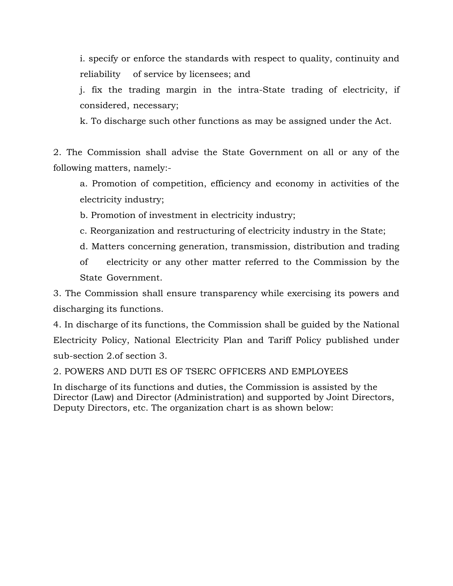i. specify or enforce the standards with respect to quality, continuity and reliability of service by licensees; and

j. fix the trading margin in the intra-State trading of electricity, if considered, necessary;

k. To discharge such other functions as may be assigned under the Act.

2. The Commission shall advise the State Government on all or any of the following matters, namely:-

a. Promotion of competition, efficiency and economy in activities of the electricity industry;

b. Promotion of investment in electricity industry;

- c. Reorganization and restructuring of electricity industry in the State;
- d. Matters concerning generation, transmission, distribution and trading

of electricity or any other matter referred to the Commission by the State Government.

3. The Commission shall ensure transparency while exercising its powers and discharging its functions.

4. In discharge of its functions, the Commission shall be guided by the National Electricity Policy, National Electricity Plan and Tariff Policy published under sub-section 2.of section 3.

2. POWERS AND DUTI ES OF TSERC OFFICERS AND EMPLOYEES

In discharge of its functions and duties, the Commission is assisted by the Director (Law) and Director (Administration) and supported by Joint Directors, Deputy Directors, etc. The organization chart is as shown below: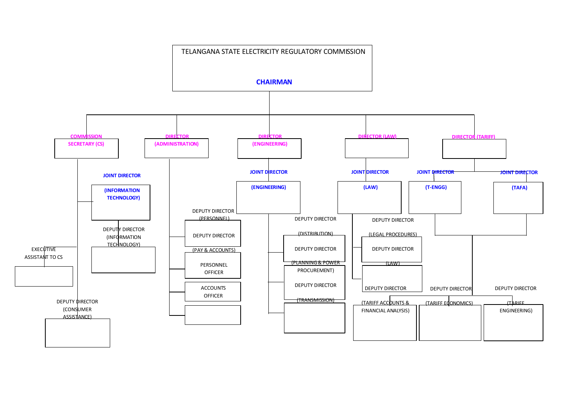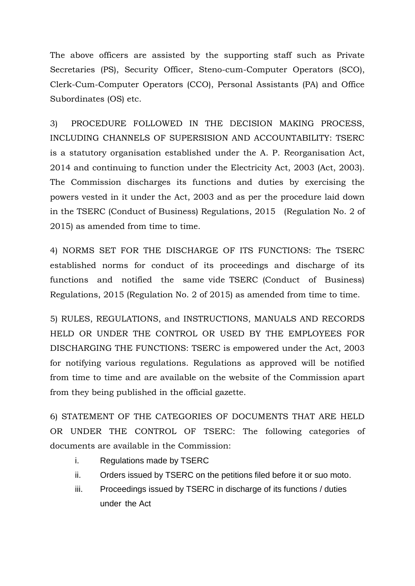The above officers are assisted by the supporting staff such as Private Secretaries (PS), Security Officer, Steno-cum-Computer Operators (SCO), Clerk-Cum-Computer Operators (CCO), Personal Assistants (PA) and Office Subordinates (OS) etc.

3) PROCEDURE FOLLOWED IN THE DECISION MAKING PROCESS, INCLUDING CHANNELS OF SUPERSISION AND ACCOUNTABILITY: TSERC is a statutory organisation established under the A. P. Reorganisation Act, 2014 and continuing to function under the Electricity Act, 2003 (Act, 2003). The Commission discharges its functions and duties by exercising the powers vested in it under the Act, 2003 and as per the procedure laid down in the TSERC (Conduct of Business) Regulations, 2015 (Regulation No. 2 of 2015) as amended from time to time.

4) NORMS SET FOR THE DISCHARGE OF ITS FUNCTIONS: The TSERC established norms for conduct of its proceedings and discharge of its functions and notified the same vide TSERC (Conduct of Business) Regulations, 2015 (Regulation No. 2 of 2015) as amended from time to time.

5) RULES, REGULATIONS, and INSTRUCTIONS, MANUALS AND RECORDS HELD OR UNDER THE CONTROL OR USED BY THE EMPLOYEES FOR DISCHARGING THE FUNCTIONS: TSERC is empowered under the Act, 2003 for notifying various regulations. Regulations as approved will be notified from time to time and are available on the website of the Commission apart from they being published in the official gazette.

6) STATEMENT OF THE CATEGORIES OF DOCUMENTS THAT ARE HELD OR UNDER THE CONTROL OF TSERC: The following categories of documents are available in the Commission:

- i. Regulations made by TSERC
- ii. Orders issued by TSERC on the petitions filed before it or suo moto.
- iii. Proceedings issued by TSERC in discharge of its functions / duties under the Act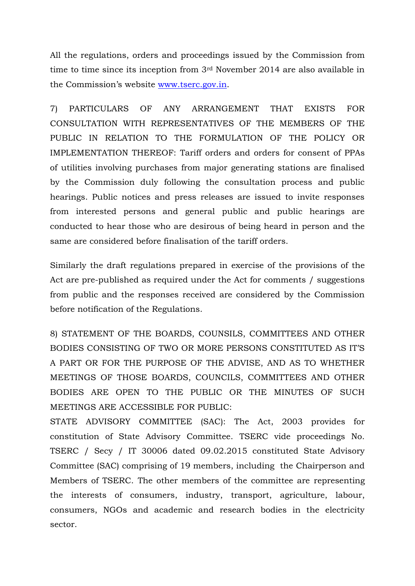All the regulations, orders and proceedings issued by the Commission from time to time since its inception from 3rd November 2014 are also available in the Commission's website [www.tserc.gov.in.](http://www.tserc.gov.in/)

7) PARTICULARS OF ANY ARRANGEMENT THAT EXISTS FOR CONSULTATION WITH REPRESENTATIVES OF THE MEMBERS OF THE PUBLIC IN RELATION TO THE FORMULATION OF THE POLICY OR IMPLEMENTATION THEREOF: Tariff orders and orders for consent of PPAs of utilities involving purchases from major generating stations are finalised by the Commission duly following the consultation process and public hearings. Public notices and press releases are issued to invite responses from interested persons and general public and public hearings are conducted to hear those who are desirous of being heard in person and the same are considered before finalisation of the tariff orders.

Similarly the draft regulations prepared in exercise of the provisions of the Act are pre-published as required under the Act for comments / suggestions from public and the responses received are considered by the Commission before notification of the Regulations.

8) STATEMENT OF THE BOARDS, COUNSILS, COMMITTEES AND OTHER BODIES CONSISTING OF TWO OR MORE PERSONS CONSTITUTED AS IT'S A PART OR FOR THE PURPOSE OF THE ADVISE, AND AS TO WHETHER MEETINGS OF THOSE BOARDS, COUNCILS, COMMITTEES AND OTHER BODIES ARE OPEN TO THE PUBLIC OR THE MINUTES OF SUCH MEETINGS ARE ACCESSIBLE FOR PUBLIC:

STATE ADVISORY COMMITTEE (SAC): The Act, 2003 provides for constitution of State Advisory Committee. TSERC vide proceedings No. TSERC / Secy / IT 30006 dated 09.02.2015 constituted State Advisory Committee (SAC) comprising of 19 members, including the Chairperson and Members of TSERC. The other members of the committee are representing the interests of consumers, industry, transport, agriculture, labour, consumers, NGOs and academic and research bodies in the electricity sector.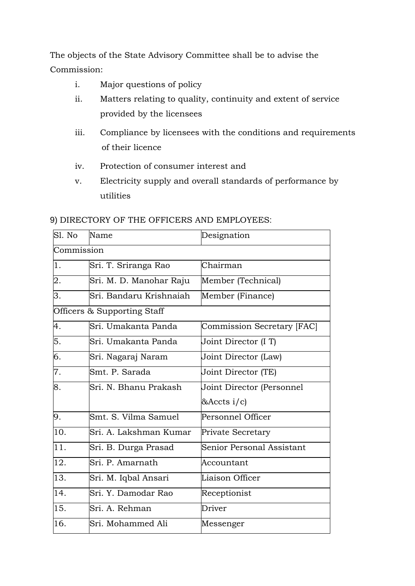The objects of the State Advisory Committee shall be to advise the Commission:

- i. Major questions of policy
- ii. Matters relating to quality, continuity and extent of service provided by the licensees
- iii. Compliance by licensees with the conditions and requirements of their licence
- iv. Protection of consumer interest and
- v. Electricity supply and overall standards of performance by utilities

## 9) DIRECTORY OF THE OFFICERS AND EMPLOYEES:

| Sl. No     | Name                        | Designation                |
|------------|-----------------------------|----------------------------|
| Commission |                             |                            |
| 1.         | Sri. T. Sriranga Rao        | Chairman                   |
| 2.         | Sri. M. D. Manohar Raju     | Member (Technical)         |
| 3.         | Sri. Bandaru Krishnaiah     | Member (Finance)           |
|            | Officers & Supporting Staff |                            |
| 4.         | Sri. Umakanta Panda         | Commission Secretary [FAC] |
| 5.         | Sri. Umakanta Panda         | Joint Director (I T)       |
| 6.         | Sri. Nagaraj Naram          | Joint Director (Law)       |
| 7.         | Smt. P. Sarada              | Joint Director (TE)        |
| 8.         | Sri. N. Bhanu Prakash       | Joint Director (Personnel  |
|            |                             | $&$ Accts i/c)             |
| 9.         | Smt. S. Vilma Samuel        | Personnel Officer          |
| 10.        | Sri. A. Lakshman Kumar      | Private Secretary          |
| 11.        | Sri. B. Durga Prasad        | Senior Personal Assistant  |
| 12.        | Sri. P. Amarnath            | Accountant                 |
| 13.        | Sri. M. Iqbal Ansari        | Liaison Officer            |
| 14.        | Sri. Y. Damodar Rao         | Receptionist               |
| 15.        | Sri. A. Rehman              | Driver                     |
| 16.        | Sri. Mohammed Ali           | Messenger                  |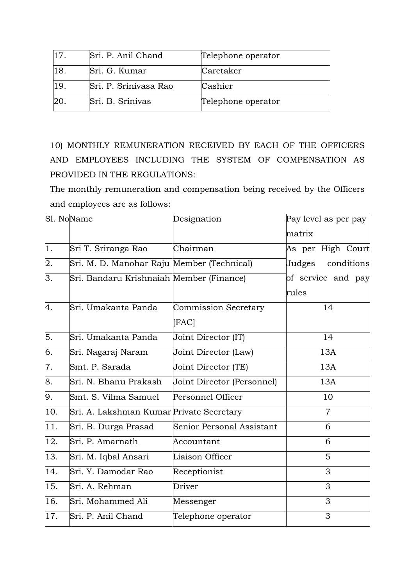| 117. | Sri. P. Anil Chand    | Telephone operator |
|------|-----------------------|--------------------|
| 18   | Sri. G. Kumar         | Caretaker          |
| 19   | Sri. P. Srinivasa Rao | Cashier            |
|      | Sri. B. Srinivas      | Telephone operator |

10) MONTHLY REMUNERATION RECEIVED BY EACH OF THE OFFICERS AND EMPLOYEES INCLUDING THE SYSTEM OF COMPENSATION AS PROVIDED IN THE REGULATIONS:

The monthly remuneration and compensation being received by the Officers and employees are as follows:

|                  | Sl. NoName                                 | Designation                | Pay level as per pay |
|------------------|--------------------------------------------|----------------------------|----------------------|
|                  |                                            |                            | matrix               |
| $\overline{1}$ . | Sri T. Sriranga Rao                        | Chairman                   | As per High Court    |
| 2.               | Sri. M. D. Manohar Raju Member (Technical) |                            | Judges<br>conditions |
| 3.               | Sri. Bandaru Krishnaiah Member (Finance)   |                            | of service and pay   |
|                  |                                            |                            | rules                |
| 4.               | Sri. Umakanta Panda                        | Commission Secretary       | 14                   |
|                  |                                            | [FAC]                      |                      |
| 5.               | Sri. Umakanta Panda                        | Joint Director (IT)        | 14                   |
| 6.               | Sri. Nagaraj Naram                         | Joint Director (Law)       | 13A                  |
| 7.               | Smt. P. Sarada                             | Joint Director (TE)        | 13A                  |
| 8.               | Sri. N. Bhanu Prakash                      | Joint Director (Personnel) | 13A                  |
| 9.               | Smt. S. Vilma Samuel                       | Personnel Officer          | 10                   |
| 10.              | Sri. A. Lakshman Kumar Private Secretary   |                            | $\overline{7}$       |
| 11.              | Sri. B. Durga Prasad                       | Senior Personal Assistant  | 6                    |
| 12.              | Sri. P. Amarnath                           | Accountant                 | 6                    |
| 13.              | Sri. M. Iqbal Ansari                       | Liaison Officer            | 5                    |
| 14.              | Sri. Y. Damodar Rao                        | Receptionist               | 3                    |
| 15.              | Sri. A. Rehman                             | Driver                     | 3                    |
| 16.              | Sri. Mohammed Ali                          | Messenger                  | 3                    |
| 17.              | Sri. P. Anil Chand                         | Telephone operator         | 3                    |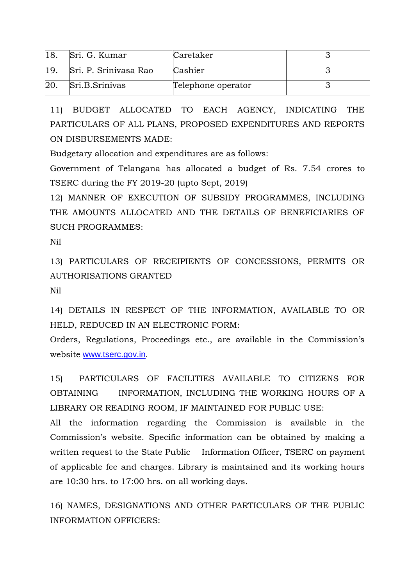|    | Sri. G. Kumar         | Caretaker          |  |
|----|-----------------------|--------------------|--|
|    | Sri, P. Srinivasa Rao | Cashier            |  |
| 20 | Sri.B.Srinivas        | Telephone operator |  |

11) BUDGET ALLOCATED TO EACH AGENCY, INDICATING THE PARTICULARS OF ALL PLANS, PROPOSED EXPENDITURES AND REPORTS ON DISBURSEMENTS MADE:

Budgetary allocation and expenditures are as follows:

Government of Telangana has allocated a budget of Rs. 7.54 crores to TSERC during the FY 2019-20 (upto Sept, 2019)

12) MANNER OF EXECUTION OF SUBSIDY PROGRAMMES, INCLUDING THE AMOUNTS ALLOCATED AND THE DETAILS OF BENEFICIARIES OF SUCH PROGRAMMES:

Nil

13) PARTICULARS OF RECEIPIENTS OF CONCESSIONS, PERMITS OR AUTHORISATIONS GRANTED

Nil

14) DETAILS IN RESPECT OF THE INFORMATION, AVAILABLE TO OR HELD, REDUCED IN AN ELECTRONIC FORM:

Orders, Regulations, Proceedings etc., are available in the Commission's website [www.tserc.gov.in.](http://www.tserc.gov.in/)

15) PARTICULARS OF FACILITIES AVAILABLE TO CITIZENS FOR OBTAINING INFORMATION, INCLUDING THE WORKING HOURS OF A LIBRARY OR READING ROOM, IF MAINTAINED FOR PUBLIC USE:

All the information regarding the Commission is available in the Commission's website. Specific information can be obtained by making a written request to the State Public Information Officer, TSERC on payment of applicable fee and charges. Library is maintained and its working hours are 10:30 hrs. to 17:00 hrs. on all working days.

16) NAMES, DESIGNATIONS AND OTHER PARTICULARS OF THE PUBLIC INFORMATION OFFICERS: